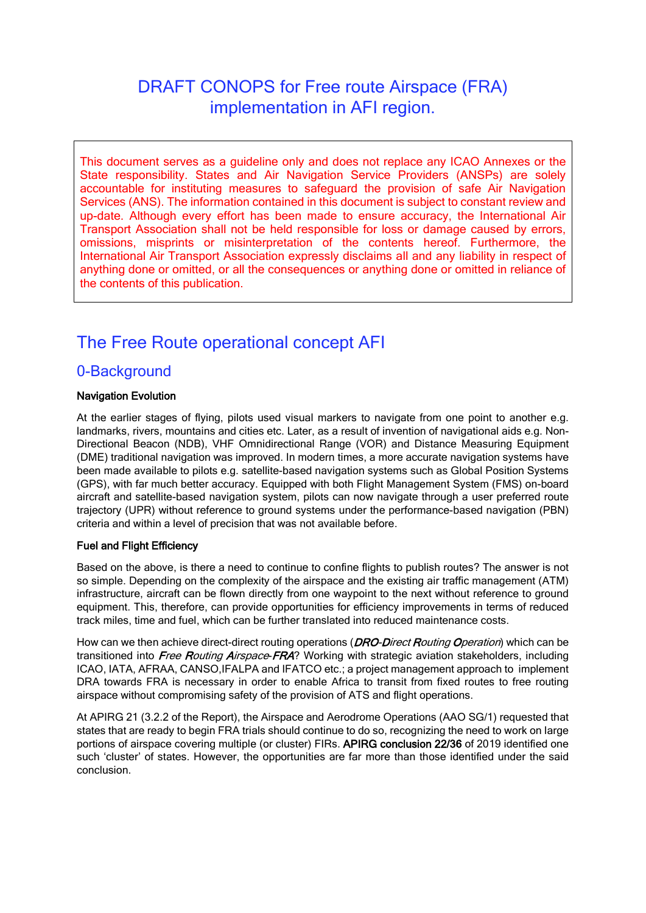# DRAFT CONOPS for Free route Airspace (FRA) implementation in AFI region.

This document serves as a guideline only and does not replace any ICAO Annexes or the State responsibility. States and Air Navigation Service Providers (ANSPs) are solely accountable for instituting measures to safeguard the provision of safe Air Navigation Services (ANS). The information contained in this document is subject to constant review and up-date. Although every effort has been made to ensure accuracy, the International Air Transport Association shall not be held responsible for loss or damage caused by errors, omissions, misprints or misinterpretation of the contents hereof. Furthermore, the International Air Transport Association expressly disclaims all and any liability in respect of anything done or omitted, or all the consequences or anything done or omitted in reliance of the contents of this publication.

# The Free Route operational concept AFI

### 0-Background

#### Navigation Evolution

At the earlier stages of flying, pilots used visual markers to navigate from one point to another e.g. landmarks, rivers, mountains and cities etc. Later, as a result of invention of navigational aids e.g. Non-Directional Beacon (NDB), VHF Omnidirectional Range (VOR) and Distance Measuring Equipment (DME) traditional navigation was improved. In modern times, a more accurate navigation systems have been made available to pilots e.g. satellite-based navigation systems such as Global Position Systems (GPS), with far much better accuracy. Equipped with both Flight Management System (FMS) on-board aircraft and satellite-based navigation system, pilots can now navigate through a user preferred route trajectory (UPR) without reference to ground systems under the performance-based navigation (PBN) criteria and within a level of precision that was not available before.

#### Fuel and Flight Efficiency

Based on the above, is there a need to continue to confine flights to publish routes? The answer is not so simple. Depending on the complexity of the airspace and the existing air traffic management (ATM) infrastructure, aircraft can be flown directly from one waypoint to the next without reference to ground equipment. This, therefore, can provide opportunities for efficiency improvements in terms of reduced track miles, time and fuel, which can be further translated into reduced maintenance costs.

How can we then achieve direct-direct routing operations (*DRO-Direct Routing Operation*) which can be transitioned into Free Routing Airspace-FRA? Working with strategic aviation stakeholders, including ICAO, IATA, AFRAA, CANSO,IFALPA and IFATCO etc.; a project management approach to implement DRA towards FRA is necessary in order to enable Africa to transit from fixed routes to free routing airspace without compromising safety of the provision of ATS and flight operations.

At APIRG 21 (3.2.2 of the Report), the Airspace and Aerodrome Operations (AAO SG/1) requested that states that are ready to begin FRA trials should continue to do so, recognizing the need to work on large portions of airspace covering multiple (or cluster) FIRs. APIRG conclusion 22/36 of 2019 identified one such 'cluster' of states. However, the opportunities are far more than those identified under the said conclusion.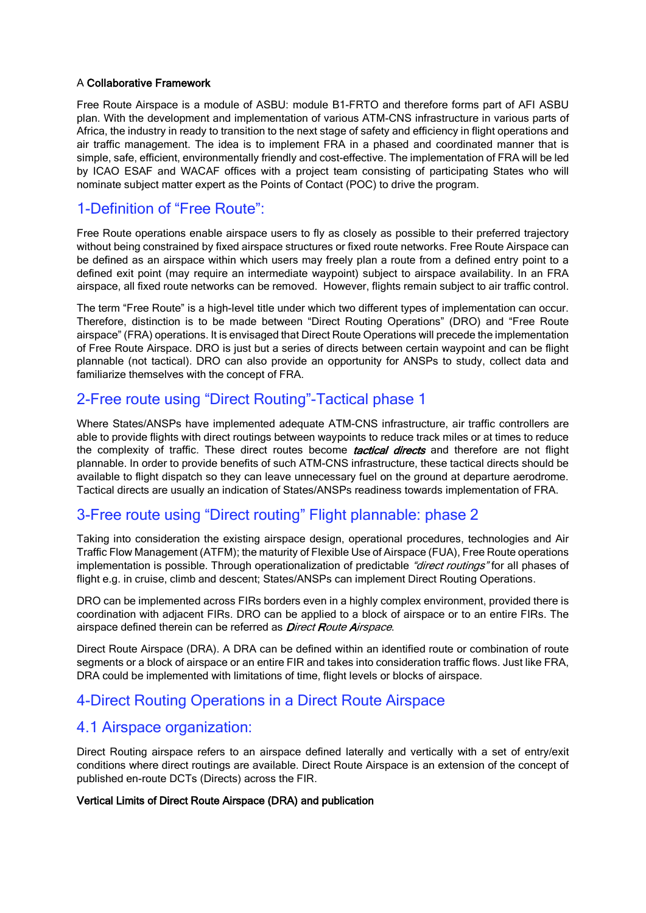#### A Collaborative Framework

Free Route Airspace is a module of ASBU: module B1-FRTO and therefore forms part of AFI ASBU plan. With the development and implementation of various ATM-CNS infrastructure in various parts of Africa, the industry in ready to transition to the next stage of safety and efficiency in flight operations and air traffic management. The idea is to implement FRA in a phased and coordinated manner that is simple, safe, efficient, environmentally friendly and cost-effective. The implementation of FRA will be led by ICAO ESAF and WACAF offices with a project team consisting of participating States who will nominate subject matter expert as the Points of Contact (POC) to drive the program.

### 1-Definition of "Free Route":

Free Route operations enable airspace users to fly as closely as possible to their preferred trajectory without being constrained by fixed airspace structures or fixed route networks. Free Route Airspace can be defined as an airspace within which users may freely plan a route from a defined entry point to a defined exit point (may require an intermediate waypoint) subject to airspace availability. In an FRA airspace, all fixed route networks can be removed. However, flights remain subject to air traffic control.

The term "Free Route" is a high-level title under which two different types of implementation can occur. Therefore, distinction is to be made between "Direct Routing Operations" (DRO) and "Free Route airspace" (FRA) operations. It is envisaged that Direct Route Operations will precede the implementation of Free Route Airspace. DRO is just but a series of directs between certain waypoint and can be flight plannable (not tactical). DRO can also provide an opportunity for ANSPs to study, collect data and familiarize themselves with the concept of FRA.

### 2-Free route using "Direct Routing"-Tactical phase 1

Where States/ANSPs have implemented adequate ATM-CNS infrastructure, air traffic controllers are able to provide flights with direct routings between waypoints to reduce track miles or at times to reduce the complexity of traffic. These direct routes become **tactical directs** and therefore are not flight plannable. In order to provide benefits of such ATM-CNS infrastructure, these tactical directs should be available to flight dispatch so they can leave unnecessary fuel on the ground at departure aerodrome. Tactical directs are usually an indication of States/ANSPs readiness towards implementation of FRA.

### 3-Free route using "Direct routing" Flight plannable: phase 2

Taking into consideration the existing airspace design, operational procedures, technologies and Air Traffic Flow Management (ATFM); the maturity of Flexible Use of Airspace (FUA), Free Route operations implementation is possible. Through operationalization of predictable "direct routings" for all phases of flight e.g. in cruise, climb and descent; States/ANSPs can implement Direct Routing Operations.

DRO can be implemented across FIRs borders even in a highly complex environment, provided there is coordination with adjacent FIRs. DRO can be applied to a block of airspace or to an entire FIRs. The airspace defined therein can be referred as *Direct Route Airspace*.

Direct Route Airspace (DRA). A DRA can be defined within an identified route or combination of route segments or a block of airspace or an entire FIR and takes into consideration traffic flows. Just like FRA, DRA could be implemented with limitations of time, flight levels or blocks of airspace.

### 4-Direct Routing Operations in a Direct Route Airspace

### 4.1 Airspace organization:

Direct Routing airspace refers to an airspace defined laterally and vertically with a set of entry/exit conditions where direct routings are available. Direct Route Airspace is an extension of the concept of published en-route DCTs (Directs) across the FIR.

#### Vertical Limits of Direct Route Airspace (DRA) and publication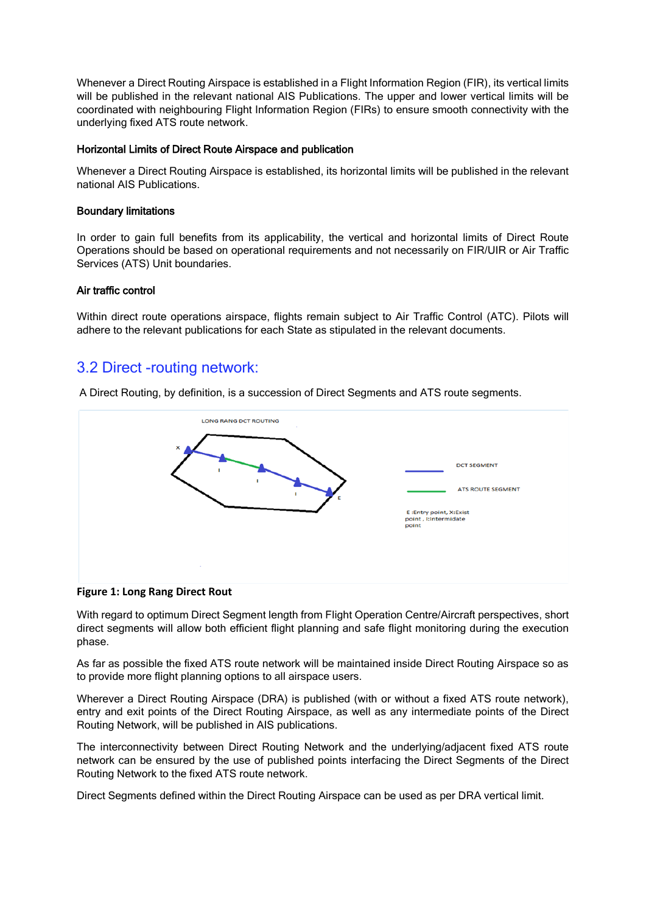Whenever a Direct Routing Airspace is established in a Flight Information Region (FIR), its vertical limits will be published in the relevant national AIS Publications. The upper and lower vertical limits will be coordinated with neighbouring Flight Information Region (FIRs) to ensure smooth connectivity with the underlying fixed ATS route network.

#### Horizontal Limits of Direct Route Airspace and publication

Whenever a Direct Routing Airspace is established, its horizontal limits will be published in the relevant national AIS Publications.

#### Boundary limitations

In order to gain full benefits from its applicability, the vertical and horizontal limits of Direct Route Operations should be based on operational requirements and not necessarily on FIR/UIR or Air Traffic Services (ATS) Unit boundaries.

#### Air traffic control

Within direct route operations airspace, flights remain subject to Air Traffic Control (ATC). Pilots will adhere to the relevant publications for each State as stipulated in the relevant documents.

### 3.2 Direct -routing network:

A Direct Routing, by definition, is a succession of Direct Segments and ATS route segments.



**Figure 1: Long Rang Direct Rout**

With regard to optimum Direct Segment length from Flight Operation Centre/Aircraft perspectives, short direct segments will allow both efficient flight planning and safe flight monitoring during the execution phase.

As far as possible the fixed ATS route network will be maintained inside Direct Routing Airspace so as to provide more flight planning options to all airspace users.

Wherever a Direct Routing Airspace (DRA) is published (with or without a fixed ATS route network), entry and exit points of the Direct Routing Airspace, as well as any intermediate points of the Direct Routing Network, will be published in AIS publications.

The interconnectivity between Direct Routing Network and the underlying/adjacent fixed ATS route network can be ensured by the use of published points interfacing the Direct Segments of the Direct Routing Network to the fixed ATS route network.

Direct Segments defined within the Direct Routing Airspace can be used as per DRA vertical limit.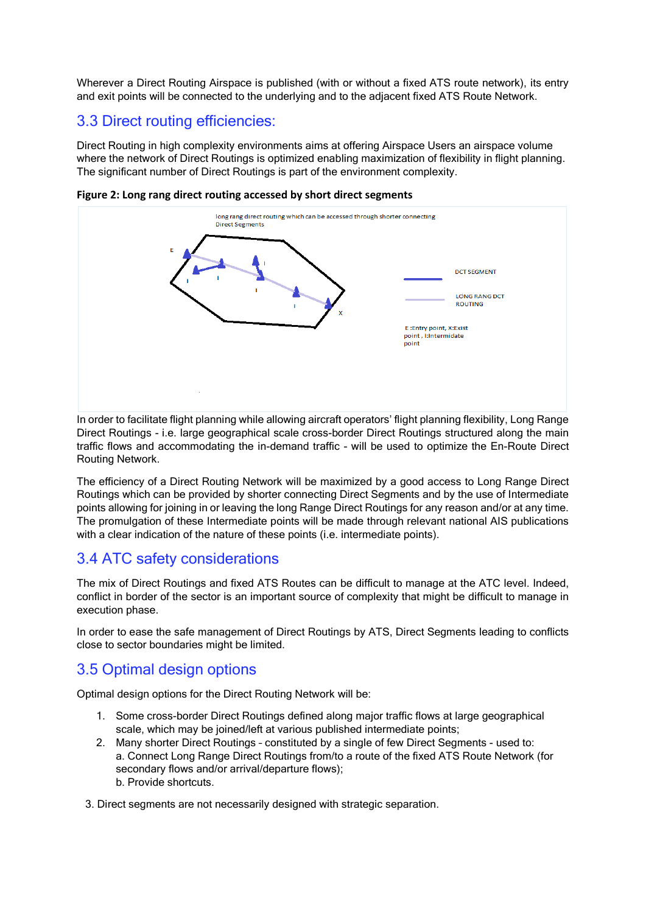Wherever a Direct Routing Airspace is published (with or without a fixed ATS route network), its entry and exit points will be connected to the underlying and to the adjacent fixed ATS Route Network.

### 3.3 Direct routing efficiencies:

Direct Routing in high complexity environments aims at offering Airspace Users an airspace volume where the network of Direct Routings is optimized enabling maximization of flexibility in flight planning. The significant number of Direct Routings is part of the environment complexity.



**Figure 2: Long rang direct routing accessed by short direct segments**

In order to facilitate flight planning while allowing aircraft operators' flight planning flexibility, Long Range Direct Routings - i.e. large geographical scale cross-border Direct Routings structured along the main traffic flows and accommodating the in-demand traffic - will be used to optimize the En-Route Direct Routing Network.

The efficiency of a Direct Routing Network will be maximized by a good access to Long Range Direct Routings which can be provided by shorter connecting Direct Segments and by the use of Intermediate points allowing for joining in or leaving the long Range Direct Routings for any reason and/or at any time. The promulgation of these Intermediate points will be made through relevant national AIS publications with a clear indication of the nature of these points (i.e. intermediate points).

## 3.4 ATC safety considerations

The mix of Direct Routings and fixed ATS Routes can be difficult to manage at the ATC level. Indeed, conflict in border of the sector is an important source of complexity that might be difficult to manage in execution phase.

In order to ease the safe management of Direct Routings by ATS, Direct Segments leading to conflicts close to sector boundaries might be limited.

## 3.5 Optimal design options

Optimal design options for the Direct Routing Network will be:

- 1. Some cross-border Direct Routings defined along major traffic flows at large geographical scale, which may be joined/left at various published intermediate points;
- 2. Many shorter Direct Routings constituted by a single of few Direct Segments used to: a. Connect Long Range Direct Routings from/to a route of the fixed ATS Route Network (for secondary flows and/or arrival/departure flows); b. Provide shortcuts.
- 3. Direct segments are not necessarily designed with strategic separation.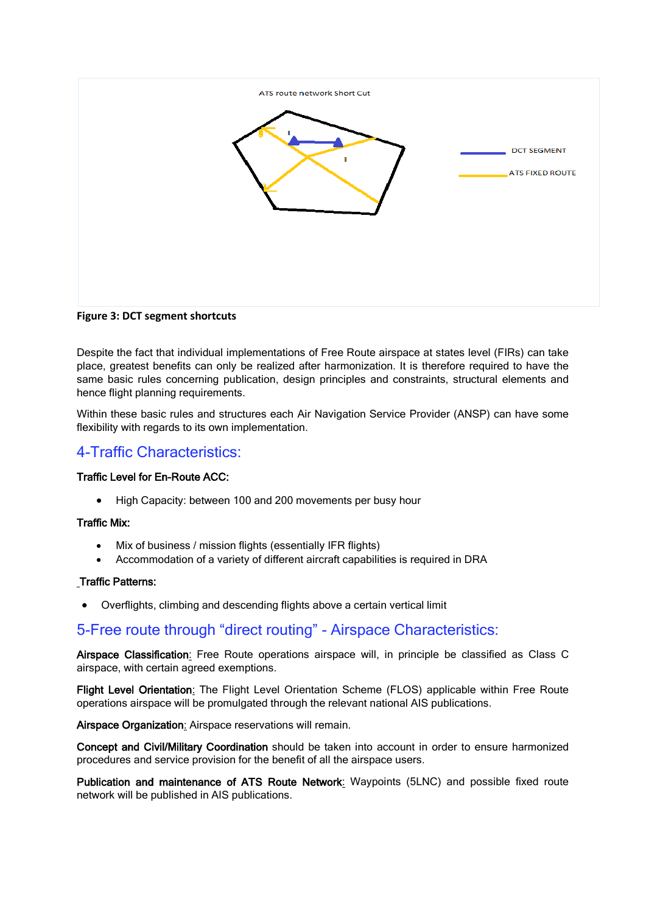

**Figure 3: DCT segment shortcuts** 

Despite the fact that individual implementations of Free Route airspace at states level (FIRs) can take place, greatest benefits can only be realized after harmonization. It is therefore required to have the same basic rules concerning publication, design principles and constraints, structural elements and hence flight planning requirements.

Within these basic rules and structures each Air Navigation Service Provider (ANSP) can have some flexibility with regards to its own implementation.

### 4-Traffic Characteristics:

#### Traffic Level for En-Route ACC:

• High Capacity: between 100 and 200 movements per busy hour

#### Traffic Mix:

- Mix of business / mission flights (essentially IFR flights)
- Accommodation of a variety of different aircraft capabilities is required in DRA

#### Traffic Patterns:

• Overflights, climbing and descending flights above a certain vertical limit

### 5-Free route through "direct routing" - Airspace Characteristics:

Airspace Classification: Free Route operations airspace will, in principle be classified as Class C airspace, with certain agreed exemptions.

Flight Level Orientation: The Flight Level Orientation Scheme (FLOS) applicable within Free Route operations airspace will be promulgated through the relevant national AIS publications.

Airspace Organization: Airspace reservations will remain.

Concept and Civil/Military Coordination should be taken into account in order to ensure harmonized procedures and service provision for the benefit of all the airspace users.

Publication and maintenance of ATS Route Network: Waypoints (5LNC) and possible fixed route network will be published in AIS publications.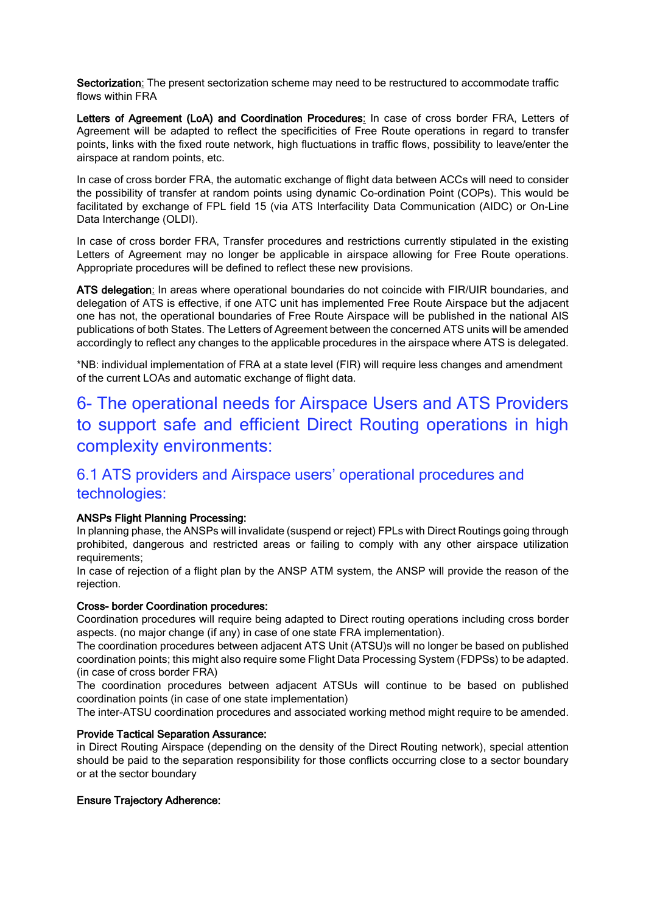Sectorization: The present sectorization scheme may need to be restructured to accommodate traffic flows within FRA

Letters of Agreement (LoA) and Coordination Procedures: In case of cross border FRA, Letters of Agreement will be adapted to reflect the specificities of Free Route operations in regard to transfer points, links with the fixed route network, high fluctuations in traffic flows, possibility to leave/enter the airspace at random points, etc.

In case of cross border FRA, the automatic exchange of flight data between ACCs will need to consider the possibility of transfer at random points using dynamic Co-ordination Point (COPs). This would be facilitated by exchange of FPL field 15 (via ATS Interfacility Data Communication (AIDC) or On-Line Data Interchange (OLDI).

In case of cross border FRA, Transfer procedures and restrictions currently stipulated in the existing Letters of Agreement may no longer be applicable in airspace allowing for Free Route operations. Appropriate procedures will be defined to reflect these new provisions.

ATS delegation: In areas where operational boundaries do not coincide with FIR/UIR boundaries, and delegation of ATS is effective, if one ATC unit has implemented Free Route Airspace but the adjacent one has not, the operational boundaries of Free Route Airspace will be published in the national AIS publications of both States. The Letters of Agreement between the concerned ATS units will be amended accordingly to reflect any changes to the applicable procedures in the airspace where ATS is delegated.

\*NB: individual implementation of FRA at a state level (FIR) will require less changes and amendment of the current LOAs and automatic exchange of flight data.

# 6- The operational needs for Airspace Users and ATS Providers to support safe and efficient Direct Routing operations in high complexity environments:

### 6.1 ATS providers and Airspace users' operational procedures and technologies:

#### ANSPs Flight Planning Processing:

In planning phase, the ANSPs will invalidate (suspend or reject) FPLs with Direct Routings going through prohibited, dangerous and restricted areas or failing to comply with any other airspace utilization requirements;

In case of rejection of a flight plan by the ANSP ATM system, the ANSP will provide the reason of the rejection.

#### Cross- border Coordination procedures:

Coordination procedures will require being adapted to Direct routing operations including cross border aspects. (no major change (if any) in case of one state FRA implementation).

The coordination procedures between adjacent ATS Unit (ATSU)s will no longer be based on published coordination points; this might also require some Flight Data Processing System (FDPSs) to be adapted. (in case of cross border FRA)

The coordination procedures between adjacent ATSUs will continue to be based on published coordination points (in case of one state implementation)

The inter-ATSU coordination procedures and associated working method might require to be amended.

#### Provide Tactical Separation Assurance:

in Direct Routing Airspace (depending on the density of the Direct Routing network), special attention should be paid to the separation responsibility for those conflicts occurring close to a sector boundary or at the sector boundary

#### Ensure Trajectory Adherence: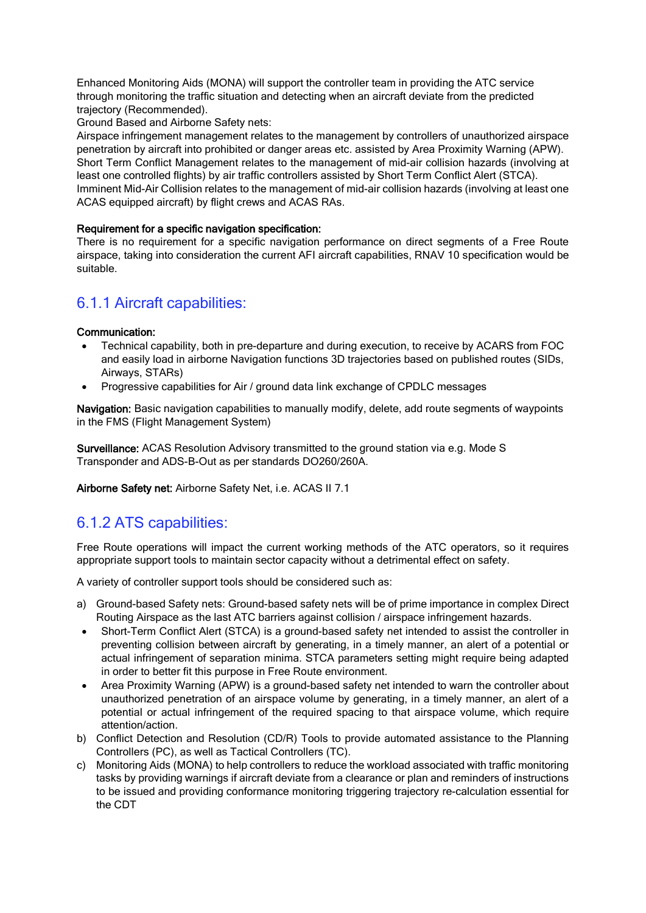Enhanced Monitoring Aids (MONA) will support the controller team in providing the ATC service through monitoring the traffic situation and detecting when an aircraft deviate from the predicted trajectory (Recommended).

Ground Based and Airborne Safety nets:

Airspace infringement management relates to the management by controllers of unauthorized airspace penetration by aircraft into prohibited or danger areas etc. assisted by Area Proximity Warning (APW). Short Term Conflict Management relates to the management of mid-air collision hazards (involving at least one controlled flights) by air traffic controllers assisted by Short Term Conflict Alert (STCA). Imminent Mid-Air Collision relates to the management of mid-air collision hazards (involving at least one ACAS equipped aircraft) by flight crews and ACAS RAs.

#### Requirement for a specific navigation specification:

There is no requirement for a specific navigation performance on direct segments of a Free Route airspace, taking into consideration the current AFI aircraft capabilities, RNAV 10 specification would be suitable.

### 6.1.1 Aircraft capabilities:

#### Communication:

- Technical capability, both in pre-departure and during execution, to receive by ACARS from FOC and easily load in airborne Navigation functions 3D trajectories based on published routes (SIDs, Airways, STARs)
- Progressive capabilities for Air / ground data link exchange of CPDLC messages

Navigation: Basic navigation capabilities to manually modify, delete, add route segments of waypoints in the FMS (Flight Management System)

Surveillance: ACAS Resolution Advisory transmitted to the ground station via e.g. Mode S Transponder and ADS-B-Out as per standards DO260/260A.

Airborne Safety net: Airborne Safety Net, i.e. ACAS II 7.1

### 6.1.2 ATS capabilities:

Free Route operations will impact the current working methods of the ATC operators, so it requires appropriate support tools to maintain sector capacity without a detrimental effect on safety.

A variety of controller support tools should be considered such as:

- a) Ground-based Safety nets: Ground-based safety nets will be of prime importance in complex Direct Routing Airspace as the last ATC barriers against collision / airspace infringement hazards.
- Short-Term Conflict Alert (STCA) is a ground-based safety net intended to assist the controller in preventing collision between aircraft by generating, in a timely manner, an alert of a potential or actual infringement of separation minima. STCA parameters setting might require being adapted in order to better fit this purpose in Free Route environment.
- Area Proximity Warning (APW) is a ground-based safety net intended to warn the controller about unauthorized penetration of an airspace volume by generating, in a timely manner, an alert of a potential or actual infringement of the required spacing to that airspace volume, which require attention/action.
- b) Conflict Detection and Resolution (CD/R) Tools to provide automated assistance to the Planning Controllers (PC), as well as Tactical Controllers (TC).
- c) Monitoring Aids (MONA) to help controllers to reduce the workload associated with traffic monitoring tasks by providing warnings if aircraft deviate from a clearance or plan and reminders of instructions to be issued and providing conformance monitoring triggering trajectory re-calculation essential for the CDT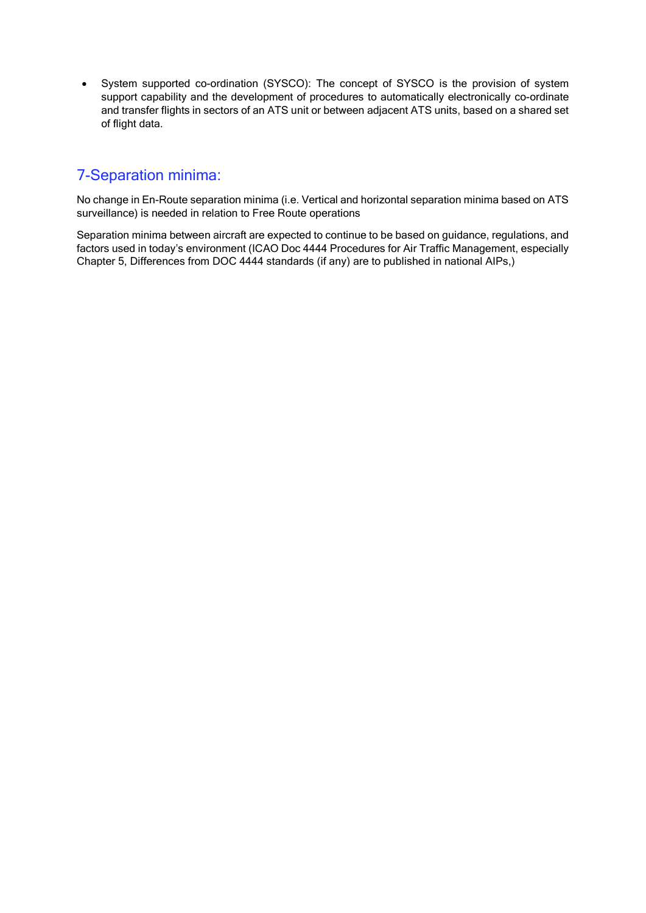• System supported co-ordination (SYSCO): The concept of SYSCO is the provision of system support capability and the development of procedures to automatically electronically co-ordinate and transfer flights in sectors of an ATS unit or between adjacent ATS units, based on a shared set of flight data.

### 7-Separation minima:

No change in En-Route separation minima (i.e. Vertical and horizontal separation minima based on ATS surveillance) is needed in relation to Free Route operations

Separation minima between aircraft are expected to continue to be based on guidance, regulations, and factors used in today's environment (ICAO Doc 4444 Procedures for Air Traffic Management, especially Chapter 5, Differences from DOC 4444 standards (if any) are to published in national AIPs,)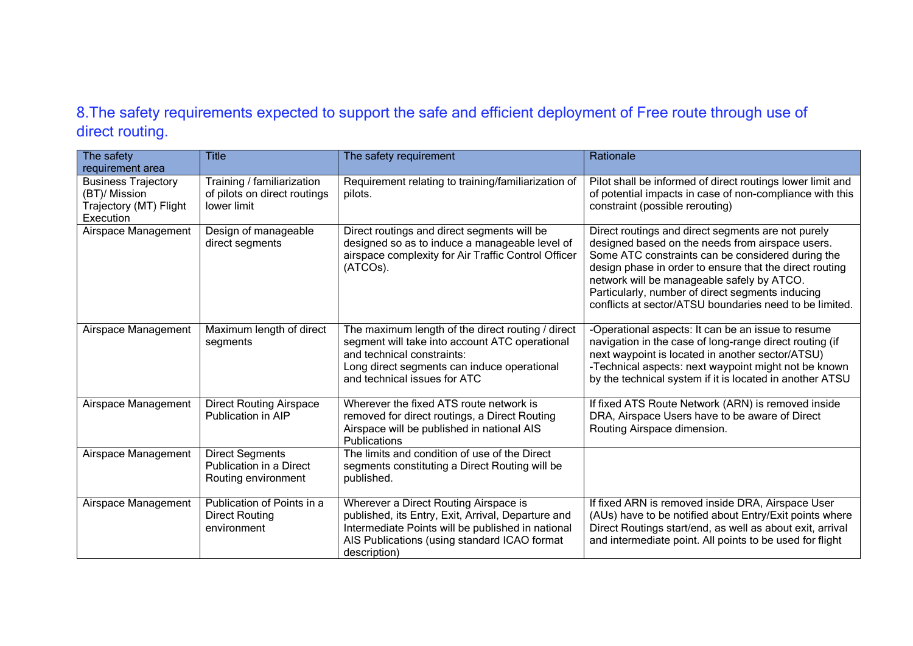## 8.The safety requirements expected to support the safe and efficient deployment of Free route through use of direct routing.

| The safety<br>requirement area                                                     | <b>Title</b>                                                              | The safety requirement                                                                                                                                                                                           | Rationale                                                                                                                                                                                                                                                                                                                                                                           |
|------------------------------------------------------------------------------------|---------------------------------------------------------------------------|------------------------------------------------------------------------------------------------------------------------------------------------------------------------------------------------------------------|-------------------------------------------------------------------------------------------------------------------------------------------------------------------------------------------------------------------------------------------------------------------------------------------------------------------------------------------------------------------------------------|
| <b>Business Trajectory</b><br>(BT)/ Mission<br>Trajectory (MT) Flight<br>Execution | Training / familiarization<br>of pilots on direct routings<br>lower limit | Requirement relating to training/familiarization of<br>pilots.                                                                                                                                                   | Pilot shall be informed of direct routings lower limit and<br>of potential impacts in case of non-compliance with this<br>constraint (possible rerouting)                                                                                                                                                                                                                           |
| Airspace Management                                                                | Design of manageable<br>direct segments                                   | Direct routings and direct segments will be<br>designed so as to induce a manageable level of<br>airspace complexity for Air Traffic Control Officer<br>(ATCOs).                                                 | Direct routings and direct segments are not purely<br>designed based on the needs from airspace users.<br>Some ATC constraints can be considered during the<br>design phase in order to ensure that the direct routing<br>network will be manageable safely by ATCO.<br>Particularly, number of direct segments inducing<br>conflicts at sector/ATSU boundaries need to be limited. |
| Airspace Management                                                                | Maximum length of direct<br>segments                                      | The maximum length of the direct routing / direct<br>segment will take into account ATC operational<br>and technical constraints:<br>Long direct segments can induce operational<br>and technical issues for ATC | -Operational aspects: It can be an issue to resume<br>navigation in the case of long-range direct routing (if<br>next waypoint is located in another sector/ATSU)<br>-Technical aspects: next waypoint might not be known<br>by the technical system if it is located in another ATSU                                                                                               |
| Airspace Management                                                                | <b>Direct Routing Airspace</b><br>Publication in AIP                      | Wherever the fixed ATS route network is<br>removed for direct routings, a Direct Routing<br>Airspace will be published in national AIS<br>Publications                                                           | If fixed ATS Route Network (ARN) is removed inside<br>DRA, Airspace Users have to be aware of Direct<br>Routing Airspace dimension.                                                                                                                                                                                                                                                 |
| Airspace Management                                                                | <b>Direct Segments</b><br>Publication in a Direct<br>Routing environment  | The limits and condition of use of the Direct<br>segments constituting a Direct Routing will be<br>published.                                                                                                    |                                                                                                                                                                                                                                                                                                                                                                                     |
| Airspace Management                                                                | Publication of Points in a<br><b>Direct Routing</b><br>environment        | Wherever a Direct Routing Airspace is<br>published, its Entry, Exit, Arrival, Departure and<br>Intermediate Points will be published in national<br>AIS Publications (using standard ICAO format<br>description) | If fixed ARN is removed inside DRA, Airspace User<br>(AUs) have to be notified about Entry/Exit points where<br>Direct Routings start/end, as well as about exit, arrival<br>and intermediate point. All points to be used for flight                                                                                                                                               |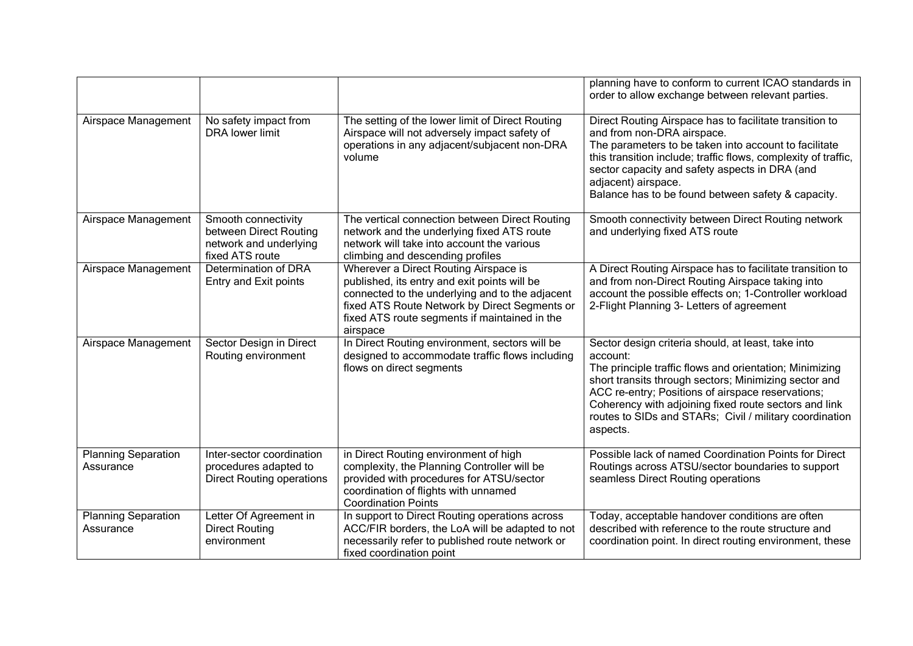|                                         |                                                                                            |                                                                                                                                                                                                                                                        | planning have to conform to current ICAO standards in<br>order to allow exchange between relevant parties.                                                                                                                                                                                                                                                              |
|-----------------------------------------|--------------------------------------------------------------------------------------------|--------------------------------------------------------------------------------------------------------------------------------------------------------------------------------------------------------------------------------------------------------|-------------------------------------------------------------------------------------------------------------------------------------------------------------------------------------------------------------------------------------------------------------------------------------------------------------------------------------------------------------------------|
| Airspace Management                     | No safety impact from<br><b>DRA</b> lower limit                                            | The setting of the lower limit of Direct Routing<br>Airspace will not adversely impact safety of<br>operations in any adjacent/subjacent non-DRA<br>volume                                                                                             | Direct Routing Airspace has to facilitate transition to<br>and from non-DRA airspace.<br>The parameters to be taken into account to facilitate<br>this transition include; traffic flows, complexity of traffic,<br>sector capacity and safety aspects in DRA (and<br>adjacent) airspace.<br>Balance has to be found between safety & capacity.                         |
| Airspace Management                     | Smooth connectivity<br>between Direct Routing<br>network and underlying<br>fixed ATS route | The vertical connection between Direct Routing<br>network and the underlying fixed ATS route<br>network will take into account the various<br>climbing and descending profiles                                                                         | Smooth connectivity between Direct Routing network<br>and underlying fixed ATS route                                                                                                                                                                                                                                                                                    |
| Airspace Management                     | Determination of DRA<br>Entry and Exit points                                              | Wherever a Direct Routing Airspace is<br>published, its entry and exit points will be<br>connected to the underlying and to the adjacent<br>fixed ATS Route Network by Direct Segments or<br>fixed ATS route segments if maintained in the<br>airspace | A Direct Routing Airspace has to facilitate transition to<br>and from non-Direct Routing Airspace taking into<br>account the possible effects on; 1-Controller workload<br>2-Flight Planning 3- Letters of agreement                                                                                                                                                    |
| Airspace Management                     | Sector Design in Direct<br>Routing environment                                             | In Direct Routing environment, sectors will be<br>designed to accommodate traffic flows including<br>flows on direct segments                                                                                                                          | Sector design criteria should, at least, take into<br>account:<br>The principle traffic flows and orientation; Minimizing<br>short transits through sectors; Minimizing sector and<br>ACC re-entry; Positions of airspace reservations;<br>Coherency with adjoining fixed route sectors and link<br>routes to SIDs and STARs; Civil / military coordination<br>aspects. |
| <b>Planning Separation</b><br>Assurance | Inter-sector coordination<br>procedures adapted to<br><b>Direct Routing operations</b>     | in Direct Routing environment of high<br>complexity, the Planning Controller will be<br>provided with procedures for ATSU/sector<br>coordination of flights with unnamed<br><b>Coordination Points</b>                                                 | Possible lack of named Coordination Points for Direct<br>Routings across ATSU/sector boundaries to support<br>seamless Direct Routing operations                                                                                                                                                                                                                        |
| <b>Planning Separation</b><br>Assurance | Letter Of Agreement in<br><b>Direct Routing</b><br>environment                             | In support to Direct Routing operations across<br>ACC/FIR borders, the LoA will be adapted to not<br>necessarily refer to published route network or<br>fixed coordination point                                                                       | Today, acceptable handover conditions are often<br>described with reference to the route structure and<br>coordination point. In direct routing environment, these                                                                                                                                                                                                      |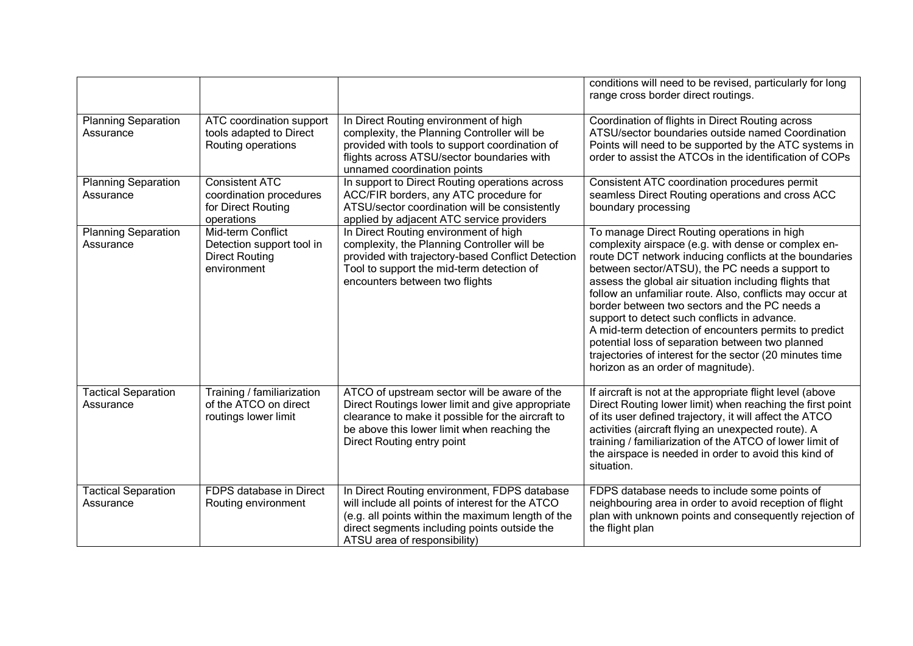|                                         |                                                                                        |                                                                                                                                                                                                                                       | conditions will need to be revised, particularly for long<br>range cross border direct routings.                                                                                                                                                                                                                                                                                                                                                                                                                                                                                                                                                      |
|-----------------------------------------|----------------------------------------------------------------------------------------|---------------------------------------------------------------------------------------------------------------------------------------------------------------------------------------------------------------------------------------|-------------------------------------------------------------------------------------------------------------------------------------------------------------------------------------------------------------------------------------------------------------------------------------------------------------------------------------------------------------------------------------------------------------------------------------------------------------------------------------------------------------------------------------------------------------------------------------------------------------------------------------------------------|
| <b>Planning Separation</b><br>Assurance | ATC coordination support<br>tools adapted to Direct<br>Routing operations              | In Direct Routing environment of high<br>complexity, the Planning Controller will be<br>provided with tools to support coordination of<br>flights across ATSU/sector boundaries with<br>unnamed coordination points                   | Coordination of flights in Direct Routing across<br>ATSU/sector boundaries outside named Coordination<br>Points will need to be supported by the ATC systems in<br>order to assist the ATCOs in the identification of COPs                                                                                                                                                                                                                                                                                                                                                                                                                            |
| <b>Planning Separation</b><br>Assurance | <b>Consistent ATC</b><br>coordination procedures<br>for Direct Routing<br>operations   | In support to Direct Routing operations across<br>ACC/FIR borders, any ATC procedure for<br>ATSU/sector coordination will be consistently<br>applied by adjacent ATC service providers                                                | Consistent ATC coordination procedures permit<br>seamless Direct Routing operations and cross ACC<br>boundary processing                                                                                                                                                                                                                                                                                                                                                                                                                                                                                                                              |
| <b>Planning Separation</b><br>Assurance | Mid-term Conflict<br>Detection support tool in<br><b>Direct Routing</b><br>environment | In Direct Routing environment of high<br>complexity, the Planning Controller will be<br>provided with trajectory-based Conflict Detection<br>Tool to support the mid-term detection of<br>encounters between two flights              | To manage Direct Routing operations in high<br>complexity airspace (e.g. with dense or complex en-<br>route DCT network inducing conflicts at the boundaries<br>between sector/ATSU), the PC needs a support to<br>assess the global air situation including flights that<br>follow an unfamiliar route. Also, conflicts may occur at<br>border between two sectors and the PC needs a<br>support to detect such conflicts in advance.<br>A mid-term detection of encounters permits to predict<br>potential loss of separation between two planned<br>trajectories of interest for the sector (20 minutes time<br>horizon as an order of magnitude). |
| <b>Tactical Separation</b><br>Assurance | Training / familiarization<br>of the ATCO on direct<br>routings lower limit            | ATCO of upstream sector will be aware of the<br>Direct Routings lower limit and give appropriate<br>clearance to make it possible for the aircraft to<br>be above this lower limit when reaching the<br>Direct Routing entry point    | If aircraft is not at the appropriate flight level (above<br>Direct Routing lower limit) when reaching the first point<br>of its user defined trajectory, it will affect the ATCO<br>activities (aircraft flying an unexpected route). A<br>training / familiarization of the ATCO of lower limit of<br>the airspace is needed in order to avoid this kind of<br>situation.                                                                                                                                                                                                                                                                           |
| <b>Tactical Separation</b><br>Assurance | FDPS database in Direct<br>Routing environment                                         | In Direct Routing environment, FDPS database<br>will include all points of interest for the ATCO<br>(e.g. all points within the maximum length of the<br>direct segments including points outside the<br>ATSU area of responsibility) | FDPS database needs to include some points of<br>neighbouring area in order to avoid reception of flight<br>plan with unknown points and consequently rejection of<br>the flight plan                                                                                                                                                                                                                                                                                                                                                                                                                                                                 |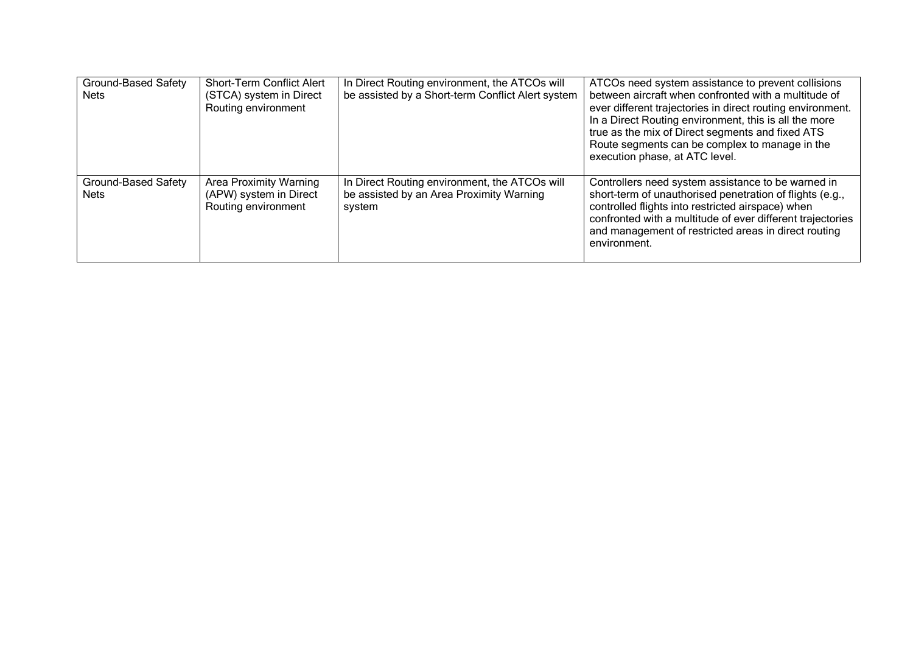| <b>Ground-Based Safety</b><br>Nets | <b>Short-Term Conflict Alert</b><br>(STCA) system in Direct<br>Routing environment | In Direct Routing environment, the ATCOs will<br>be assisted by a Short-term Conflict Alert system  | ATCOs need system assistance to prevent collisions<br>between aircraft when confronted with a multitude of<br>ever different trajectories in direct routing environment.<br>In a Direct Routing environment, this is all the more<br>true as the mix of Direct segments and fixed ATS<br>Route segments can be complex to manage in the<br>execution phase, at ATC level. |
|------------------------------------|------------------------------------------------------------------------------------|-----------------------------------------------------------------------------------------------------|---------------------------------------------------------------------------------------------------------------------------------------------------------------------------------------------------------------------------------------------------------------------------------------------------------------------------------------------------------------------------|
| Ground-Based Safety<br>Nets        | <b>Area Proximity Warning</b><br>(APW) system in Direct<br>Routing environment     | In Direct Routing environment, the ATCOs will<br>be assisted by an Area Proximity Warning<br>system | Controllers need system assistance to be warned in<br>short-term of unauthorised penetration of flights (e.g.,<br>controlled flights into restricted airspace) when<br>confronted with a multitude of ever different trajectories<br>and management of restricted areas in direct routing<br>environment.                                                                 |